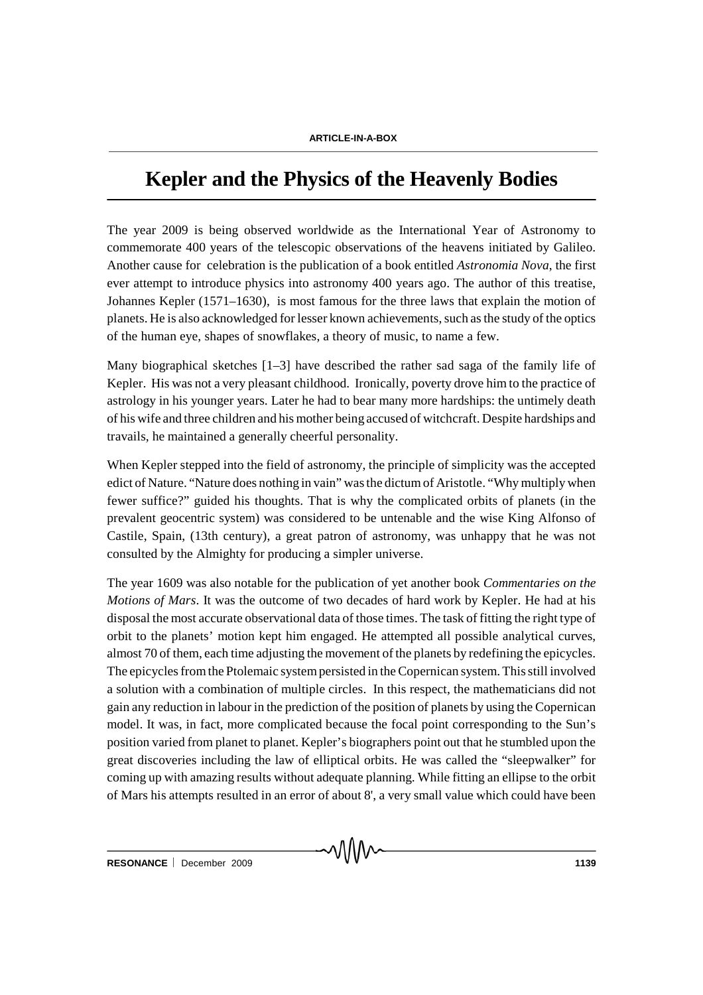## **Kepler and the Physics of the Heavenly Bodies**

The year 2009 is being observed worldwide as the International Year of Astronomy to commemorate 400 years of the telescopic observations of the heavens initiated by Galileo. Another cause for celebration is the publication of a book entitled *Astronomia Nova*, the first ever attempt to introduce physics into astronomy 400 years ago. The author of this treatise, Johannes Kepler (1571–1630), is most famous for the three laws that explain the motion of planets. He is also acknowledged for lesser known achievements, such as the study of the optics of the human eye, shapes of snowflakes, a theory of music, to name a few.

Many biographical sketches [1–3] have described the rather sad saga of the family life of Kepler. His was not a very pleasant childhood. Ironically, poverty drove him to the practice of astrology in his younger years. Later he had to bear many more hardships: the untimely death of his wife and three children and his mother being accused of witchcraft. Despite hardships and travails, he maintained a generally cheerful personality.

When Kepler stepped into the field of astronomy, the principle of simplicity was the accepted edict of Nature. "Nature does nothing in vain" was the dictum of Aristotle. "Why multiply when fewer suffice?" guided his thoughts. That is why the complicated orbits of planets (in the prevalent geocentric system) was considered to be untenable and the wise King Alfonso of Castile, Spain, (13th century), a great patron of astronomy, was unhappy that he was not consulted by the Almighty for producing a simpler universe.

The year 1609 was also notable for the publication of yet another book *Commentaries on the Motions of Mars*. It was the outcome of two decades of hard work by Kepler. He had at his disposal the most accurate observational data of those times. The task of fitting the right type of orbit to the planets' motion kept him engaged. He attempted all possible analytical curves, almost 70 of them, each time adjusting the movement of the planets by redefining the epicycles. The epicycles from the Ptolemaic system persisted in the Copernican system. This still involved a solution with a combination of multiple circles. In this respect, the mathematicians did not gain any reduction in labour in the prediction of the position of planets by using the Copernican model. It was, in fact, more complicated because the focal point corresponding to the Sun's position varied from planet to planet. Kepler's biographers point out that he stumbled upon the great discoveries including the law of elliptical orbits. He was called the "sleepwalker" for coming up with amazing results without adequate planning. While fitting an ellipse to the orbit of Mars his attempts resulted in an error of about 8', a very small value which could have been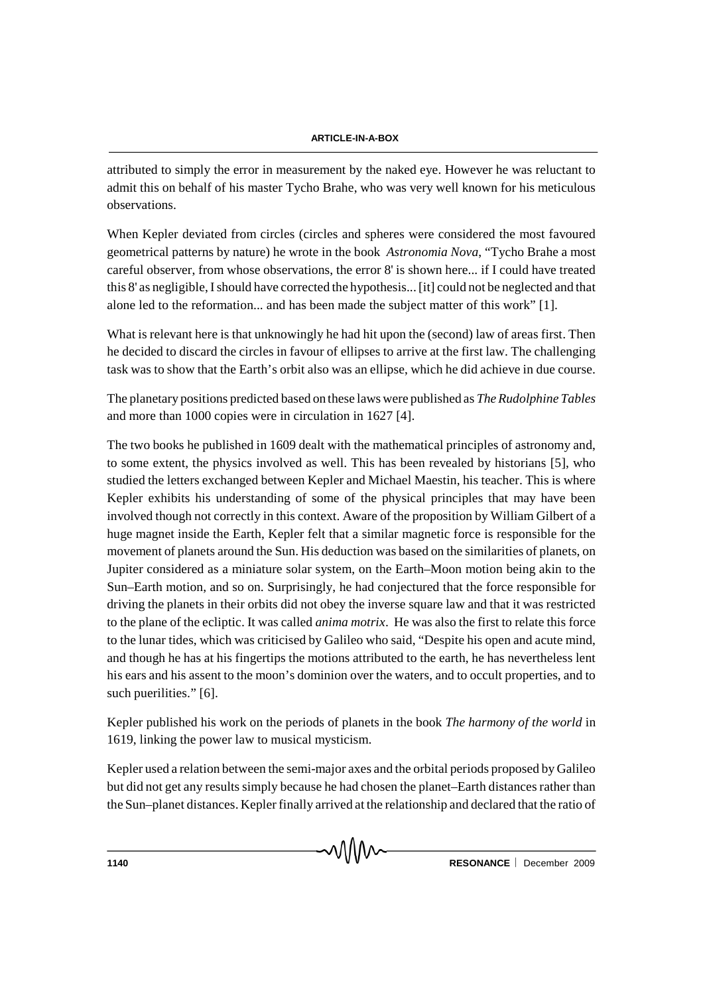## **ARTICLE-IN-A-BOX**

attributed to simply the error in measurement by the naked eye. However he was reluctant to admit this on behalf of his master Tycho Brahe, who was very well known for his meticulous observations.

When Kepler deviated from circles (circles and spheres were considered the most favoured geometrical patterns by nature) he wrote in the book *Astronomia Nova*, "Tycho Brahe a most careful observer, from whose observations, the error 8' is shown here... if I could have treated this 8' as negligible, I should have corrected the hypothesis... [it] could not be neglected and that alone led to the reformation... and has been made the subject matter of this work" [1].

What is relevant here is that unknowingly he had hit upon the (second) law of areas first. Then he decided to discard the circles in favour of ellipses to arrive at the first law. The challenging task was to show that the Earth's orbit also was an ellipse, which he did achieve in due course.

The planetary positions predicted based on these laws were published as *The Rudolphine Tables* and more than 1000 copies were in circulation in 1627 [4].

The two books he published in 1609 dealt with the mathematical principles of astronomy and, to some extent, the physics involved as well. This has been revealed by historians [5], who studied the letters exchanged between Kepler and Michael Maestin, his teacher. This is where Kepler exhibits his understanding of some of the physical principles that may have been involved though not correctly in this context. Aware of the proposition by William Gilbert of a huge magnet inside the Earth, Kepler felt that a similar magnetic force is responsible for the movement of planets around the Sun. His deduction was based on the similarities of planets, on Jupiter considered as a miniature solar system, on the Earth–Moon motion being akin to the Sun–Earth motion, and so on. Surprisingly, he had conjectured that the force responsible for driving the planets in their orbits did not obey the inverse square law and that it was restricted to the plane of the ecliptic. It was called *anima motrix*. He was also the first to relate this force to the lunar tides, which was criticised by Galileo who said, "Despite his open and acute mind, and though he has at his fingertips the motions attributed to the earth, he has nevertheless lent his ears and his assent to the moon's dominion over the waters, and to occult properties, and to such puerilities." [6].

Kepler published his work on the periods of planets in the book *The harmony of the world* in 1619, linking the power law to musical mysticism.

Kepler used a relation between the semi-major axes and the orbital periods proposed by Galileo but did not get any results simply because he had chosen the planet–Earth distances rather than the Sun–planet distances. Kepler finally arrived at the relationship and declared that the ratio of